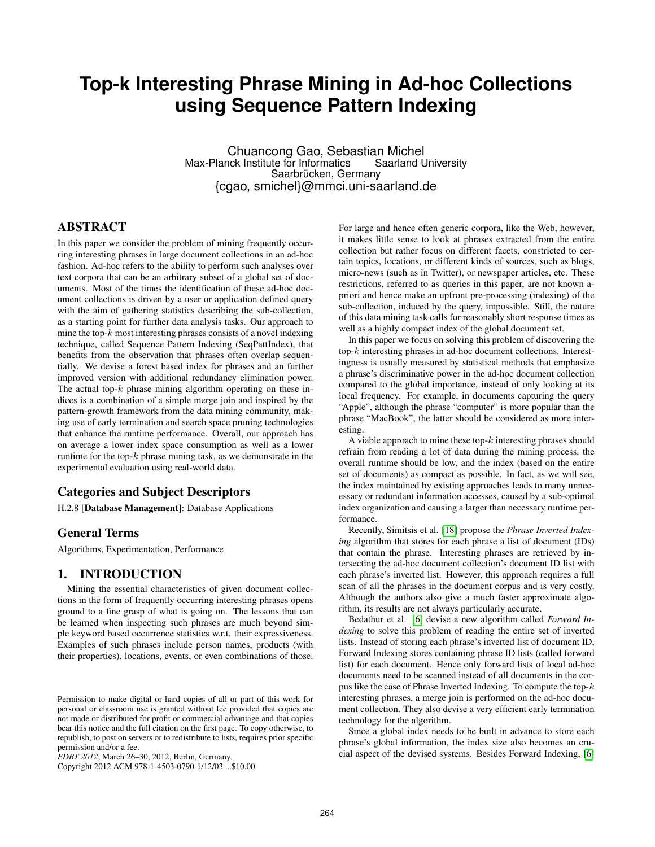# **Top-k Interesting Phrase Mining in Ad-hoc Collections using Sequence Pattern Indexing**

Chuancong Gao, Sebastian Michel Max-Planck Institute for Informatics Saarbrücken, Germany {cgao, smichel}@mmci.uni-saarland.de

# ABSTRACT

In this paper we consider the problem of mining frequently occurring interesting phrases in large document collections in an ad-hoc fashion. Ad-hoc refers to the ability to perform such analyses over text corpora that can be an arbitrary subset of a global set of documents. Most of the times the identification of these ad-hoc document collections is driven by a user or application defined query with the aim of gathering statistics describing the sub-collection, as a starting point for further data analysis tasks. Our approach to mine the top- $k$  most interesting phrases consists of a novel indexing technique, called Sequence Pattern Indexing (SeqPattIndex), that benefits from the observation that phrases often overlap sequentially. We devise a forest based index for phrases and an further improved version with additional redundancy elimination power. The actual top- $k$  phrase mining algorithm operating on these indices is a combination of a simple merge join and inspired by the pattern-growth framework from the data mining community, making use of early termination and search space pruning technologies that enhance the runtime performance. Overall, our approach has on average a lower index space consumption as well as a lower runtime for the top- $k$  phrase mining task, as we demonstrate in the experimental evaluation using real-world data.

#### Categories and Subject Descriptors

H.2.8 [Database Management]: Database Applications

## General Terms

Algorithms, Experimentation, Performance

## 1. INTRODUCTION

Mining the essential characteristics of given document collections in the form of frequently occurring interesting phrases opens ground to a fine grasp of what is going on. The lessons that can be learned when inspecting such phrases are much beyond simple keyword based occurrence statistics w.r.t. their expressiveness. Examples of such phrases include person names, products (with their properties), locations, events, or even combinations of those.

Copyright 2012 ACM 978-1-4503-0790-1/12/03 ...\$10.00

For large and hence often generic corpora, like the Web, however, it makes little sense to look at phrases extracted from the entire collection but rather focus on different facets, constricted to certain topics, locations, or different kinds of sources, such as blogs, micro-news (such as in Twitter), or newspaper articles, etc. These restrictions, referred to as queries in this paper, are not known apriori and hence make an upfront pre-processing (indexing) of the sub-collection, induced by the query, impossible. Still, the nature of this data mining task calls for reasonably short response times as well as a highly compact index of the global document set.

In this paper we focus on solving this problem of discovering the top-k interesting phrases in ad-hoc document collections. Interestingness is usually measured by statistical methods that emphasize a phrase's discriminative power in the ad-hoc document collection compared to the global importance, instead of only looking at its local frequency. For example, in documents capturing the query "Apple", although the phrase "computer" is more popular than the phrase "MacBook", the latter should be considered as more interesting.

A viable approach to mine these top- $k$  interesting phrases should refrain from reading a lot of data during the mining process, the overall runtime should be low, and the index (based on the entire set of documents) as compact as possible. In fact, as we will see, the index maintained by existing approaches leads to many unnecessary or redundant information accesses, caused by a sub-optimal index organization and causing a larger than necessary runtime performance.

Recently, Simitsis et al. [\[18\]](#page-11-0) propose the *Phrase Inverted Indexing* algorithm that stores for each phrase a list of document (IDs) that contain the phrase. Interesting phrases are retrieved by intersecting the ad-hoc document collection's document ID list with each phrase's inverted list. However, this approach requires a full scan of all the phrases in the document corpus and is very costly. Although the authors also give a much faster approximate algorithm, its results are not always particularly accurate.

Bedathur et al. [\[6\]](#page-11-1) devise a new algorithm called *Forward Indexing* to solve this problem of reading the entire set of inverted lists. Instead of storing each phrase's inverted list of document ID, Forward Indexing stores containing phrase ID lists (called forward list) for each document. Hence only forward lists of local ad-hoc documents need to be scanned instead of all documents in the corpus like the case of Phrase Inverted Indexing. To compute the top-k interesting phrases, a merge join is performed on the ad-hoc document collection. They also devise a very efficient early termination technology for the algorithm.

Since a global index needs to be built in advance to store each phrase's global information, the index size also becomes an crucial aspect of the devised systems. Besides Forward Indexing, [\[6\]](#page-11-1)

Permission to make digital or hard copies of all or part of this work for personal or classroom use is granted without fee provided that copies are not made or distributed for profit or commercial advantage and that copies bear this notice and the full citation on the first page. To copy otherwise, to republish, to post on servers or to redistribute to lists, requires prior specific permission and/or a fee.

*EDBT 2012*, March 26–30, 2012, Berlin, Germany.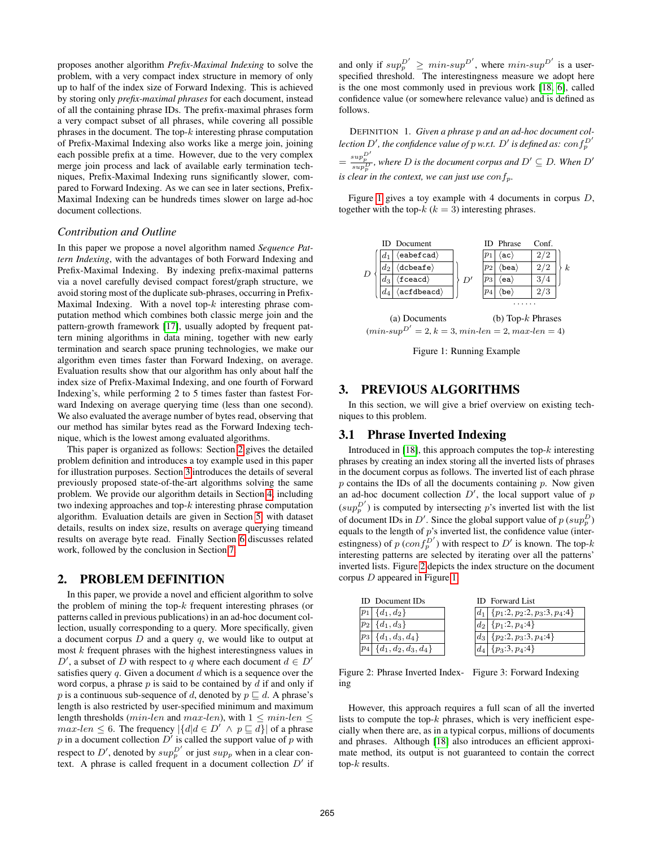proposes another algorithm *Prefix-Maximal Indexing* to solve the problem, with a very compact index structure in memory of only up to half of the index size of Forward Indexing. This is achieved by storing only *prefix-maximal phrases* for each document, instead of all the containing phrase IDs. The prefix-maximal phrases form a very compact subset of all phrases, while covering all possible phrases in the document. The top- $k$  interesting phrase computation of Prefix-Maximal Indexing also works like a merge join, joining each possible prefix at a time. However, due to the very complex merge join process and lack of available early termination techniques, Prefix-Maximal Indexing runs significantly slower, compared to Forward Indexing. As we can see in later sections, Prefix-Maximal Indexing can be hundreds times slower on large ad-hoc document collections.

#### *Contribution and Outline*

In this paper we propose a novel algorithm named *Sequence Pattern Indexing*, with the advantages of both Forward Indexing and Prefix-Maximal Indexing. By indexing prefix-maximal patterns via a novel carefully devised compact forest/graph structure, we avoid storing most of the duplicate sub-phrases, occurring in Prefix-Maximal Indexing. With a novel top-k interesting phrase computation method which combines both classic merge join and the pattern-growth framework [\[17\]](#page-11-2), usually adopted by frequent pattern mining algorithms in data mining, together with new early termination and search space pruning technologies, we make our algorithm even times faster than Forward Indexing, on average. Evaluation results show that our algorithm has only about half the index size of Prefix-Maximal Indexing, and one fourth of Forward Indexing's, while performing 2 to 5 times faster than fastest Forward Indexing on average querying time (less than one second). We also evaluated the average number of bytes read, observing that our method has similar bytes read as the Forward Indexing technique, which is the lowest among evaluated algorithms.

This paper is organized as follows: Section [2](#page-1-0) gives the detailed problem definition and introduces a toy example used in this paper for illustration purposes. Section [3](#page-1-1) introduces the details of several previously proposed state-of-the-art algorithms solving the same problem. We provide our algorithm details in Section [4,](#page-2-0) including two indexing approaches and top-k interesting phrase computation algorithm. Evaluation details are given in Section [5,](#page-6-0) with dataset details, results on index size, results on average querying timeand results on average byte read. Finally Section [6](#page-10-0) discusses related work, followed by the conclusion in Section [7.](#page-10-1)

### <span id="page-1-0"></span>2. PROBLEM DEFINITION

In this paper, we provide a novel and efficient algorithm to solve the problem of mining the top- $k$  frequent interesting phrases (or patterns called in previous publications) in an ad-hoc document collection, usually corresponding to a query. More specifically, given a document corpus  $D$  and a query  $q$ , we would like to output at most  $k$  frequent phrases with the highest interestingness values in D', a subset of D with respect to q where each document  $d \in D'$ satisfies query  $q$ . Given a document  $d$  which is a sequence over the word corpus, a phrase  $p$  is said to be contained by  $d$  if and only if p is a continuous sub-sequence of d, denoted by  $p \sqsubseteq d$ . A phrase's length is also restricted by user-specified minimum and maximum length thresholds ( $min\text{-}len$  and  $max\text{-}len$ ), with  $1\leq min\text{-}len$  $max\text{-}len \leq 6$ . The frequency  $|\{d | d \in D' \land p \sqsubseteq d\}|$  of a phrase p in a document collection  $D'$  is called the support value of p with respect to D', denoted by  $sup_p^{D'}$  or just  $sup_p$  when in a clear context. A phrase is called frequent in a document collection  $D'$  if

and only if  $sup_p^{D'} \geq min-sup^{D'}$ , where  $min-sup^{D'}$  is a userspecified threshold. The interestingness measure we adopt here is the one most commonly used in previous work [\[18,](#page-11-0) [6\]](#page-11-1), called confidence value (or somewhere relevance value) and is defined as follows.

DEFINITION 1. *Given a phrase* p *and an ad-hoc document col*lection  $D'$ , the confidence value of  $p$  w.r.t.  $D'$  is defined as:  $\textit{conf}_{p}^{D'}$  $=\frac{sup_{D}^{D}}{sup_{D}^{D}}$ , where *D* is the document corpus and  $D' \subseteq D$ . When  $D'$ *is clear in the context, we can just use con* $f_p$ *.* 

Figure [1](#page-1-2) gives a toy example with 4 documents in corpus D, together with the top- $k (k = 3)$  interesting phrases.

<span id="page-1-2"></span>



#### <span id="page-1-1"></span>3. PREVIOUS ALGORITHMS

In this section, we will give a brief overview on existing techniques to this problem.

# 3.1 Phrase Inverted Indexing

Introduced in [\[18\]](#page-11-0), this approach computes the top- $k$  interesting phrases by creating an index storing all the inverted lists of phrases in the document corpus as follows. The inverted list of each phrase  $p$  contains the IDs of all the documents containing  $p$ . Now given an ad-hoc document collection  $D'$ , the local support value of  $p$  $(sup_p^{D'})$  is computed by intersecting p's inverted list with the list of document IDs in D'. Since the global support value of  $p$  ( $supp^D$ ) equals to the length of  $p$ 's inverted list, the confidence value (interestingness) of  $p(\text{conf}_p^{\overline{D}'})$  with respect to  $D'$  is known. The top-k interesting patterns are selected by iterating over all the patterns' inverted lists. Figure [2](#page-1-3) depicts the index structure on the document corpus D appeared in Figure [1.](#page-1-2)

<span id="page-1-3"></span>

| <b>ID</b> Document <b>ID</b> s | <b>ID</b> Forward List                            |
|--------------------------------|---------------------------------------------------|
| $ p_1  \{d_1, d_2\}$           | $ d_1 $ { $p_1$ :2, $p_2$ :2, $p_3$ :3, $p_4$ :4} |
| $ p_2  \{d_1, d_3\}$           | $ d_2 $ { $p_1$ :2, $p_4$ :4}                     |
| $ p_3  \{d_1, d_3, d_4\}$      | $ d_3 $ { $p_2:2, p_3:3, p_4:4$ }                 |
| $ p_4  \{d_1, d_2, d_3, d_4\}$ | $ d_4 $ { $p_3:3, p_4:4$ }                        |

Figure 2: Phrase Inverted Index-Figure 3: Forward Indexing ing

However, this approach requires a full scan of all the inverted lists to compute the top- $k$  phrases, which is very inefficient especially when there are, as in a typical corpus, millions of documents and phrases. Although [\[18\]](#page-11-0) also introduces an efficient approximate method, its output is not guaranteed to contain the correct top- $k$  results.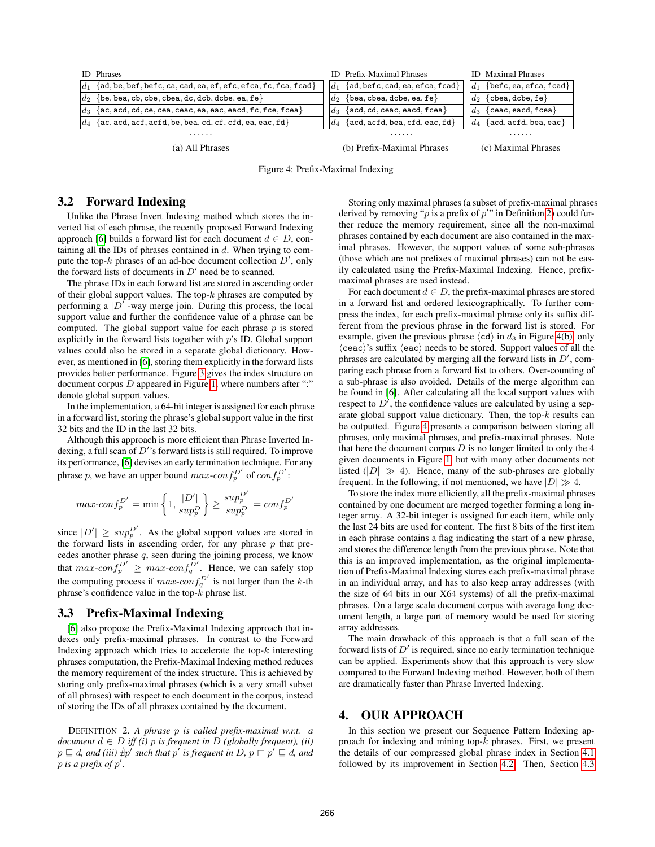<span id="page-2-3"></span>

| <b>ID</b> Phrases                                           | <b>ID</b> Prefix-Maximal Phrases                                                | <b>ID</b> Maximal Phrases                                             |
|-------------------------------------------------------------|---------------------------------------------------------------------------------|-----------------------------------------------------------------------|
| ${ad, be, bef, bef, ca, cad, ea, ef, efc, efca, fc, facad}$ | ${ad, \text{befc}, \text{cad}, \text{ea}, \text{efca}, \text{fcad}}$<br>$ d_1 $ | $ d_1 $<br>$\{ \text{before}, \text{ea}, \text{efca}, \text{fcad} \}$ |
| $\{be, bea, cb, cbe, cbea, dc, dcb, dcbe, ea, fe\}$         | $\{bea, cbea, dobe, ea, fe\}$<br>$ d_2 $                                        | $\{chea, dobe, fe\}$<br>$\overline{d}$                                |
| ${ac, acd, cd, ce, cea, ceac, ea, eac, eacd, fc, fce, fea}$ | $\{acd, cd, caac, eacd, fcea\}$<br>$\overline{d}$                               | $\overline{d}$<br>${ceac, eacd, fcea}$                                |
| $\{ac, acd, acf, acfd, be, bea, cd, cf, cfd, ea, eac, fd\}$ | $\{acd, acfd, bea, cfd, eac, fd\}$<br>$\overline{d}_A$                          | $ d_A $<br>$\{acd, acfd, bea, eac\}$                                  |
| .                                                           | .                                                                               | .                                                                     |
| (a) All Phrases                                             | (b) Prefix-Maximal Phrases                                                      | (c) Maximal Phrases                                                   |

Figure 4: Prefix-Maximal Indexing

# <span id="page-2-4"></span>3.2 Forward Indexing

Unlike the Phrase Invert Indexing method which stores the inverted list of each phrase, the recently proposed Forward Indexing approach [\[6\]](#page-11-1) builds a forward list for each document  $d \in D$ , containing all the IDs of phrases contained in  $d$ . When trying to compute the top- $k$  phrases of an ad-hoc document collection  $D'$ , only the forward lists of documents in  $D'$  need be to scanned.

The phrase IDs in each forward list are stored in ascending order of their global support values. The top- $k$  phrases are computed by performing a  $|D^{\dagger}|$ -way merge join. During this process, the local support value and further the confidence value of a phrase can be computed. The global support value for each phrase  $p$  is stored explicitly in the forward lists together with  $p$ 's ID. Global support values could also be stored in a separate global dictionary. However, as mentioned in [\[6\]](#page-11-1), storing them explicitly in the forward lists provides better performance. Figure [3](#page-1-3) gives the index structure on document corpus  $D$  appeared in Figure [1,](#page-1-2) where numbers after ":" denote global support values.

In the implementation, a 64-bit integer is assigned for each phrase in a forward list, storing the phrase's global support value in the first 32 bits and the ID in the last 32 bits.

Although this approach is more efficient than Phrase Inverted Indexing, a full scan of  $D'$ 's forward lists is still required. To improve its performance, [\[6\]](#page-11-1) devises an early termination technique. For any phrase p, we have an upper bound  $max\text{-}conf_p^{D'}$  of  $conf_p^{D'}$ :

$$
max\text{-}conf_p^{D'} = \min\left\{1, \frac{|D'|}{sup_p^D}\right\} \ge \frac{sup_p^{D'}}{sup_p^D} = conf_p^{D'}
$$

since  $|D'| \geq \sup_{p}^{D'}$ . As the global support values are stored in the forward lists in ascending order, for any phrase  $p$  that precedes another phrase  $q$ , seen during the joining process, we know that  $max\text{-}conf_p^{D'} \geq max\text{-}conf_q^{D'}$ . Hence, we can safely stop the computing process if  $max\text{-}conf_q^{D'}$  is not larger than the k-th phrase's confidence value in the top- $\vec{k}$  phrase list.

#### <span id="page-2-5"></span>3.3 Prefix-Maximal Indexing

[\[6\]](#page-11-1) also propose the Prefix-Maximal Indexing approach that indexes only prefix-maximal phrases. In contrast to the Forward Indexing approach which tries to accelerate the top- $k$  interesting phrases computation, the Prefix-Maximal Indexing method reduces the memory requirement of the index structure. This is achieved by storing only prefix-maximal phrases (which is a very small subset of all phrases) with respect to each document in the corpus, instead of storing the IDs of all phrases contained by the document.

<span id="page-2-1"></span>DEFINITION 2. *A phrase* p *is called prefix-maximal w.r.t. a document*  $d \in D$  *iff (i)*  $p$  *is frequent in*  $D$  *(globally frequent), (ii)*  $p \sqsubseteq d$ , and (iii)  $\nexists p'$  such that  $p'$  is frequent in  $D$ ,  $p \sqsubset p' \sqsubseteq d$ , and  $p$  is a prefix of  $p'$ .

<span id="page-2-2"></span>Storing only maximal phrases (a subset of prefix-maximal phrases derived by removing "p is a prefix of  $p''$  in Definition [2\)](#page-2-1) could further reduce the memory requirement, since all the non-maximal phrases contained by each document are also contained in the maximal phrases. However, the support values of some sub-phrases (those which are not prefixes of maximal phrases) can not be easily calculated using the Prefix-Maximal Indexing. Hence, prefixmaximal phrases are used instead.

For each document  $d \in D$ , the prefix-maximal phrases are stored in a forward list and ordered lexicographically. To further compress the index, for each prefix-maximal phrase only its suffix different from the previous phrase in the forward list is stored. For example, given the previous phrase  $\langle cd \rangle$  in  $d_3$  in Figure [4\(b\),](#page-2-2) only  $\langle \text{ceac} \rangle$ 's suffix  $\langle \text{eac} \rangle$  needs to be stored. Support values of all the phrases are calculated by merging all the forward lists in  $D'$ , comparing each phrase from a forward list to others. Over-counting of a sub-phrase is also avoided. Details of the merge algorithm can be found in [\[6\]](#page-11-1). After calculating all the local support values with respect to  $D'$ , the confidence values are calculated by using a separate global support value dictionary. Then, the top- $k$  results can be outputted. Figure [4](#page-2-3) presents a comparison between storing all phrases, only maximal phrases, and prefix-maximal phrases. Note that here the document corpus  $D$  is no longer limited to only the 4 given documents in Figure [1,](#page-1-2) but with many other documents not listed  $(|D| \gg 4)$ . Hence, many of the sub-phrases are globally frequent. In the following, if not mentioned, we have  $|D| \gg 4$ .

To store the index more efficiently, all the prefix-maximal phrases contained by one document are merged together forming a long integer array. A 32-bit integer is assigned for each item, while only the last 24 bits are used for content. The first 8 bits of the first item in each phrase contains a flag indicating the start of a new phrase, and stores the difference length from the previous phrase. Note that this is an improved implementation, as the original implementation of Prefix-Maximal Indexing stores each prefix-maximal phrase in an individual array, and has to also keep array addresses (with the size of 64 bits in our X64 systems) of all the prefix-maximal phrases. On a large scale document corpus with average long document length, a large part of memory would be used for storing array addresses.

The main drawback of this approach is that a full scan of the forward lists of  $D'$  is required, since no early termination technique can be applied. Experiments show that this approach is very slow compared to the Forward Indexing method. However, both of them are dramatically faster than Phrase Inverted Indexing.

## <span id="page-2-0"></span>4. OUR APPROACH

In this section we present our Sequence Pattern Indexing approach for indexing and mining top- $k$  phrases. First, we present the details of our compressed global phrase index in Section [4.1](#page-3-0) followed by its improvement in Section [4.2.](#page-4-0) Then, Section [4.3](#page-5-0)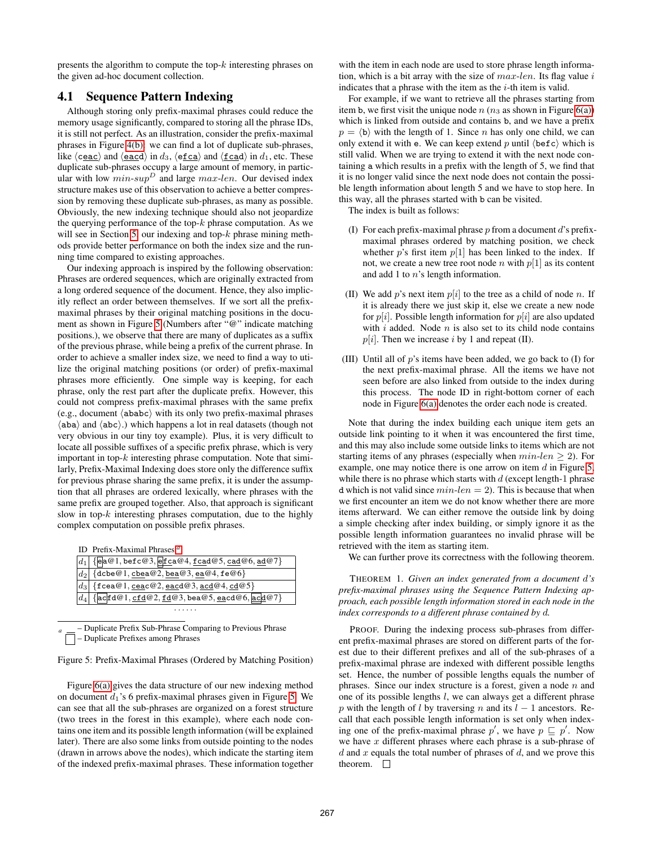presents the algorithm to compute the top- $k$  interesting phrases on the given ad-hoc document collection.

# <span id="page-3-0"></span>4.1 Sequence Pattern Indexing

Although storing only prefix-maximal phrases could reduce the memory usage significantly, compared to storing all the phrase IDs, it is still not perfect. As an illustration, consider the prefix-maximal phrases in Figure [4\(b\):](#page-2-2) we can find a lot of duplicate sub-phrases, like  $\langle$  ceac) and  $\langle$  eacd) in d<sub>3</sub>,  $\langle$  e<u>fca</u>) and  $\langle$  fcad) in d<sub>1</sub>, etc. These duplicate sub-phrases occupy a large amount of memory, in particular with low  $min\text{-}sup^D$  and large  $max\text{-}len$ . Our devised index structure makes use of this observation to achieve a better compression by removing these duplicate sub-phrases, as many as possible. Obviously, the new indexing technique should also not jeopardize the querying performance of the top- $k$  phrase computation. As we will see in Section [5,](#page-6-0) our indexing and top- $k$  phrase mining methods provide better performance on both the index size and the running time compared to existing approaches.

Our indexing approach is inspired by the following observation: Phrases are ordered sequences, which are originally extracted from a long ordered sequence of the document. Hence, they also implicitly reflect an order between themselves. If we sort all the prefixmaximal phrases by their original matching positions in the document as shown in Figure [5](#page-3-1) (Numbers after "@" indicate matching positions.), we observe that there are many of duplicates as a suffix of the previous phrase, while being a prefix of the current phrase. In order to achieve a smaller index size, we need to find a way to utilize the original matching positions (or order) of prefix-maximal phrases more efficiently. One simple way is keeping, for each phrase, only the rest part after the duplicate prefix. However, this could not compress prefix-maximal phrases with the same prefix (e.g., document  $\langle ababc \rangle$  with its only two prefix-maximal phrases  $\langle$ aba $\rangle$  and  $\langle$ abc $\rangle$ .) which happens a lot in real datasets (though not very obvious in our tiny toy example). Plus, it is very difficult to locate all possible suffixes of a specific prefix phrase, which is very important in top- $k$  interesting phrase computation. Note that similarly, Prefix-Maximal Indexing does store only the difference suffix for previous phrase sharing the same prefix, it is under the assumption that all phrases are ordered lexically, where phrases with the same prefix are grouped together. Also, that approach is significant slow in top- $k$  interesting phrases computation, due to the highly complex computation on possible prefix phrases.

<span id="page-3-1"></span>ID Prefix-Maximal Phrases *[a](#page-3-2)*

|  | $ d_1 $ {ea@1, befc@3, efca@4, fcad@5, cad@6, ad@7}    |  |  |
|--|--------------------------------------------------------|--|--|
|  | $\overline{[d_2]}$ {dcbe@1, cbea@2, bea@3, ea@4, fe@6} |  |  |
|  | $\boxed{d_3}$ {fcea@1, ceac@2, eacd@3, acd@4, cd@5}    |  |  |
|  | $ d_4 $ {ac fd@1, cfd@2, fd@3, bea@5, eacd@6, ac d@7}  |  |  |
|  |                                                        |  |  |

<span id="page-3-2"></span>**Duplicate Prefix Sub-Phrase Comparing to Previous Phrase** – Duplicate Prefixes among Phrases

Figure 5: Prefix-Maximal Phrases (Ordered by Matching Position)

Figure [6\(a\)](#page-4-1) gives the data structure of our new indexing method on document  $d_1$ 's 6 prefix-maximal phrases given in Figure [5.](#page-3-1) We can see that all the sub-phrases are organized on a forest structure (two trees in the forest in this example), where each node contains one item and its possible length information (will be explained later). There are also some links from outside pointing to the nodes (drawn in arrows above the nodes), which indicate the starting item of the indexed prefix-maximal phrases. These information together with the item in each node are used to store phrase length information, which is a bit array with the size of  $max$ -len. Its flag value i indicates that a phrase with the item as the  $i$ -th item is valid.

For example, if we want to retrieve all the phrases starting from item b, we first visit the unique node  $n (n_3)$  as shown in Figure [6\(a\)\)](#page-4-1) which is linked from outside and contains b, and we have a prefix  $p = \langle b \rangle$  with the length of 1. Since n has only one child, we can only extend it with e. We can keep extend p until  $\langle \text{bef } c \rangle$  which is still valid. When we are trying to extend it with the next node containing a which results in a prefix with the length of 5, we find that it is no longer valid since the next node does not contain the possible length information about length 5 and we have to stop here. In this way, all the phrases started with b can be visited.

The index is built as follows:

- (I) For each prefix-maximal phrase  $p$  from a document  $d$ 's prefixmaximal phrases ordered by matching position, we check whether  $p$ 's first item  $p[1]$  has been linked to the index. If not, we create a new tree root node  $n$  with  $p[1]$  as its content and add 1 to n's length information.
- (II) We add p's next item  $p[i]$  to the tree as a child of node n. If it is already there we just skip it, else we create a new node for  $p[i]$ . Possible length information for  $p[i]$  are also updated with  $i$  added. Node  $n$  is also set to its child node contains  $p[i]$ . Then we increase i by 1 and repeat (II).
- (III) Until all of  $p$ 's items have been added, we go back to  $(I)$  for the next prefix-maximal phrase. All the items we have not seen before are also linked from outside to the index during this process. The node ID in right-bottom corner of each node in Figure [6\(a\)](#page-4-1) denotes the order each node is created.

Note that during the index building each unique item gets an outside link pointing to it when it was encountered the first time, and this may also include some outside links to items which are not starting items of any phrases (especially when  $min$ -len  $\geq$  2). For example, one may notice there is one arrow on item  $d$  in Figure [5,](#page-3-1) while there is no phrase which starts with  $d$  (except length-1 phrase d which is not valid since  $min$ -len = 2). This is because that when we first encounter an item we do not know whether there are more items afterward. We can either remove the outside link by doing a simple checking after index building, or simply ignore it as the possible length information guarantees no invalid phrase will be retrieved with the item as starting item.

We can further prove its correctness with the following theorem.

<span id="page-3-3"></span>THEOREM 1. *Given an index generated from a document* d*'s prefix-maximal phrases using the Sequence Pattern Indexing approach, each possible length information stored in each node in the index corresponds to a different phrase contained by* d*.*

PROOF. During the indexing process sub-phrases from different prefix-maximal phrases are stored on different parts of the forest due to their different prefixes and all of the sub-phrases of a prefix-maximal phrase are indexed with different possible lengths set. Hence, the number of possible lengths equals the number of phrases. Since our index structure is a forest, given a node  $n$  and one of its possible lengths l, we can always get a different phrase p with the length of l by traversing n and its  $l - 1$  ancestors. Recall that each possible length information is set only when indexing one of the prefix-maximal phrase  $p'$ , we have  $p \sqsubseteq p'$ . Now we have  $x$  different phrases where each phrase is a sub-phrase of  $d$  and  $x$  equals the total number of phrases of  $d$ , and we prove this theorem.  $\square$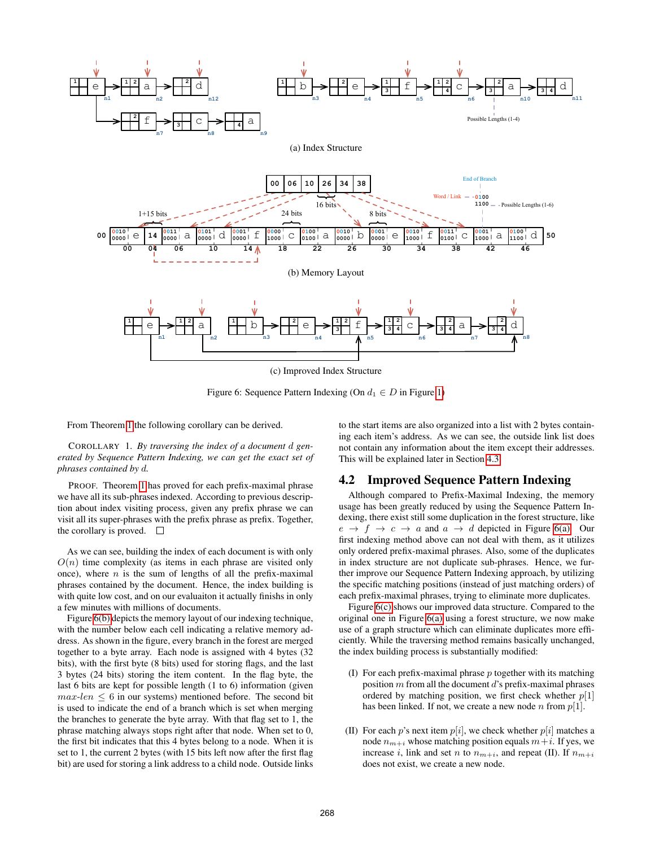<span id="page-4-2"></span><span id="page-4-1"></span>

Figure 6: Sequence Pattern Indexing (On  $d_1 \in D$  in Figure [1\)](#page-1-2)

<span id="page-4-3"></span>From Theorem [1](#page-3-3) the following corollary can be derived.

<span id="page-4-4"></span>COROLLARY 1. *By traversing the index of a document* d *generated by Sequence Pattern Indexing, we can get the exact set of phrases contained by* d*.*

PROOF. Theorem [1](#page-3-3) has proved for each prefix-maximal phrase we have all its sub-phrases indexed. According to previous description about index visiting process, given any prefix phrase we can visit all its super-phrases with the prefix phrase as prefix. Together, the corollary is proved.  $\square$ 

As we can see, building the index of each document is with only  $O(n)$  time complexity (as items in each phrase are visited only once), where  $n$  is the sum of lengths of all the prefix-maximal phrases contained by the document. Hence, the index building is with quite low cost, and on our evaluaiton it actually finishs in only a few minutes with millions of documents.

Figure [6\(b\)](#page-4-2) depicts the memory layout of our indexing technique, with the number below each cell indicating a relative memory address. As shown in the figure, every branch in the forest are merged together to a byte array. Each node is assigned with 4 bytes (32 bits), with the first byte (8 bits) used for storing flags, and the last 3 bytes (24 bits) storing the item content. In the flag byte, the last 6 bits are kept for possible length (1 to 6) information (given  $max\text{-}len \leq 6$  in our systems) mentioned before. The second bit is used to indicate the end of a branch which is set when merging the branches to generate the byte array. With that flag set to 1, the phrase matching always stops right after that node. When set to 0, the first bit indicates that this 4 bytes belong to a node. When it is set to 1, the current 2 bytes (with 15 bits left now after the first flag bit) are used for storing a link address to a child node. Outside links to the start items are also organized into a list with 2 bytes containing each item's address. As we can see, the outside link list does not contain any information about the item except their addresses. This will be explained later in Section [4.3.](#page-5-0)

# <span id="page-4-0"></span>4.2 Improved Sequence Pattern Indexing

Although compared to Prefix-Maximal Indexing, the memory usage has been greatly reduced by using the Sequence Pattern Indexing, there exist still some duplication in the forest structure, like  $e \rightarrow f \rightarrow c \rightarrow a$  and  $a \rightarrow d$  depicted in Figure [6\(a\).](#page-4-1) Our first indexing method above can not deal with them, as it utilizes only ordered prefix-maximal phrases. Also, some of the duplicates in index structure are not duplicate sub-phrases. Hence, we further improve our Sequence Pattern Indexing approach, by utilizing the specific matching positions (instead of just matching orders) of each prefix-maximal phrases, trying to eliminate more duplicates.

Figure [6\(c\)](#page-4-3) shows our improved data structure. Compared to the original one in Figure [6\(a\)](#page-4-1) using a forest structure, we now make use of a graph structure which can eliminate duplicates more efficiently. While the traversing method remains basically unchanged, the index building process is substantially modified:

- (I) For each prefix-maximal phrase  $p$  together with its matching position  $m$  from all the document  $d$ 's prefix-maximal phrases ordered by matching position, we first check whether  $p[1]$ has been linked. If not, we create a new node n from  $p[1]$ .
- (II) For each p's next item  $p[i]$ , we check whether  $p[i]$  matches a node  $n_{m+i}$  whose matching position equals  $m+i$ . If yes, we increase i, link and set n to  $n_{m+i}$ , and repeat (II). If  $n_{m+i}$ does not exist, we create a new node.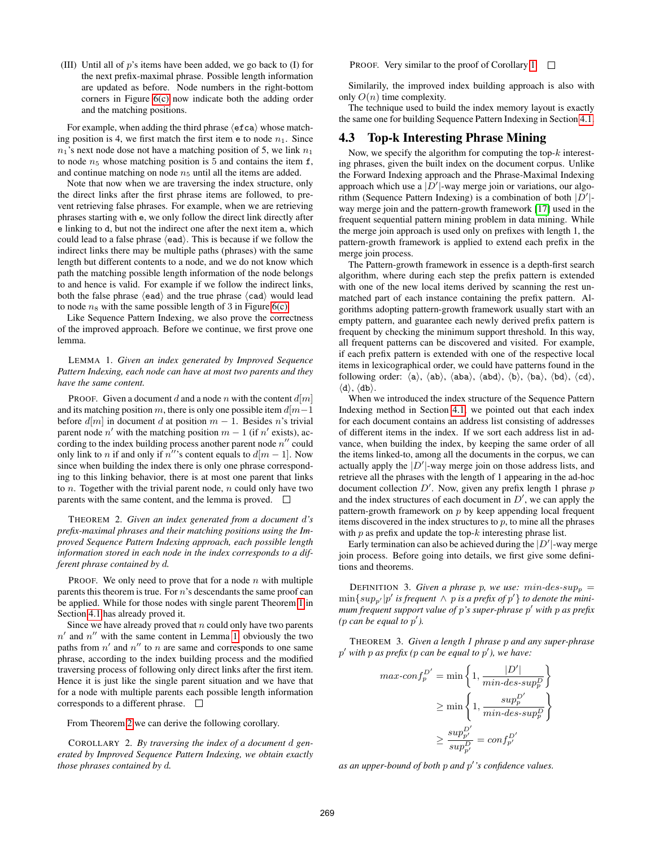(III) Until all of p's items have been added, we go back to (I) for the next prefix-maximal phrase. Possible length information are updated as before. Node numbers in the right-bottom corners in Figure [6\(c\)](#page-4-3) now indicate both the adding order and the matching positions.

For example, when adding the third phrase  $\langle$  efca $\rangle$  whose matching position is 4, we first match the first item  $e$  to node  $n_1$ . Since  $n_1$ 's next node dose not have a matching position of 5, we link  $n_1$ to node  $n_5$  whose matching position is 5 and contains the item f, and continue matching on node  $n<sub>5</sub>$  until all the items are added.

Note that now when we are traversing the index structure, only the direct links after the first phrase items are followed, to prevent retrieving false phrases. For example, when we are retrieving phrases starting with e, we only follow the direct link directly after e linking to d, but not the indirect one after the next item a, which could lead to a false phrase  $\langle$ ead $\rangle$ . This is because if we follow the indirect links there may be multiple paths (phrases) with the same length but different contents to a node, and we do not know which path the matching possible length information of the node belongs to and hence is valid. For example if we follow the indirect links, both the false phrase  $\langle$ ead $\rangle$  and the true phrase  $\langle$ cad $\rangle$  would lead to node  $n_8$  with the same possible length of 3 in Figure [6\(c\).](#page-4-3)

Like Sequence Pattern Indexing, we also prove the correctness of the improved approach. Before we continue, we first prove one lemma.

<span id="page-5-1"></span>LEMMA 1. *Given an index generated by Improved Sequence Pattern Indexing, each node can have at most two parents and they have the same content.*

PROOF. Given a document d and a node n with the content  $d[m]$ and its matching position m, there is only one possible item  $d[m-1]$ before  $d[m]$  in document d at position  $m-1$ . Besides n's trivial parent node n' with the matching position  $m - 1$  (if n' exists), according to the index building process another parent node  $n''$  could only link to *n* if and only if n'''s content equals to  $d[m-1]$ . Now since when building the index there is only one phrase corresponding to this linking behavior, there is at most one parent that links to  $n$ . Together with the trivial parent node,  $n$  could only have two parents with the same content, and the lemma is proved.  $\Box$ 

<span id="page-5-2"></span>THEOREM 2. *Given an index generated from a document* d*'s prefix-maximal phrases and their matching positions using the Improved Sequence Pattern Indexing approach, each possible length information stored in each node in the index corresponds to a different phrase contained by* d*.*

PROOF. We only need to prove that for a node  $n$  with multiple parents this theorem is true. For  $n$ 's descendants the same proof can be applied. While for those nodes with single parent Theorem [1](#page-3-3) in Section [4.1](#page-3-0) has already proved it.

Since we have already proved that  $n$  could only have two parents  $n'$  and  $n''$  with the same content in Lemma [1,](#page-5-1) obviously the two paths from  $n'$  and  $n''$  to n are same and corresponds to one same phrase, according to the index building process and the modified traversing process of following only direct links after the first item. Hence it is just like the single parent situation and we have that for a node with multiple parents each possible length information corresponds to a different phrase.

From Theorem [2](#page-5-2) we can derive the following corollary.

COROLLARY 2. *By traversing the index of a document* d *generated by Improved Sequence Pattern Indexing, we obtain exactly those phrases contained by* d*.*

PROOF. Very similar to the proof of Corollary [1.](#page-4-4)  $\square$ 

Similarily, the improved index building approach is also with only  $O(n)$  time complexity.

The technique used to build the index memory layout is exactly the same one for building Sequence Pattern Indexing in Section [4.1.](#page-3-0)

#### <span id="page-5-0"></span>4.3 Top-k Interesting Phrase Mining

Now, we specify the algorithm for computing the top- $k$  interesting phrases, given the built index on the document corpus. Unlike the Forward Indexing approach and the Phrase-Maximal Indexing approach which use a  $|D'|$ -way merge join or variations, our algorithm (Sequence Pattern Indexing) is a combination of both  $|D'|$ way merge join and the pattern-growth framework [\[17\]](#page-11-2) used in the frequent sequential pattern mining problem in data mining. While the merge join approach is used only on prefixes with length 1, the pattern-growth framework is applied to extend each prefix in the merge join process.

The Pattern-growth framework in essence is a depth-first search algorithm, where during each step the prefix pattern is extended with one of the new local items derived by scanning the rest unmatched part of each instance containing the prefix pattern. Algorithms adopting pattern-growth framework usually start with an empty pattern, and guarantee each newly derived prefix pattern is frequent by checking the minimum support threshold. In this way, all frequent patterns can be discovered and visited. For example, if each prefix pattern is extended with one of the respective local items in lexicographical order, we could have patterns found in the following order:  $\langle a \rangle$ ,  $\langle ab \rangle$ ,  $\langle aba \rangle$ ,  $\langle bd \rangle$ ,  $\langle bd \rangle$ ,  $\langle cd \rangle$ ,  $\langle cd \rangle$ ,  $\langle d \rangle$ ,  $\langle db \rangle$ .

When we introduced the index structure of the Sequence Pattern Indexing method in Section [4.1,](#page-3-0) we pointed out that each index for each document contains an address list consisting of addresses of different items in the index. If we sort each address list in advance, when building the index, by keeping the same order of all the items linked-to, among all the documents in the corpus, we can actually apply the  $|D'|$ -way merge join on those address lists, and retrieve all the phrases with the length of 1 appearing in the ad-hoc document collection  $D'$ . Now, given any prefix length 1 phrase  $p$ and the index structures of each document in  $D'$ , we can apply the pattern-growth framework on  $p$  by keep appending local frequent items discovered in the index structures to  $p$ , to mine all the phrases with  $p$  as prefix and update the top- $k$  interesting phrase list.

Early termination can also be achieved during the  $|D'|$ -way merge join process. Before going into details, we first give some definitions and theorems.

DEFINITION 3. *Given a phrase p, we use: min-des-sup<sub>p</sub>* =  $\min\{sup_{p'} | p' \text{ is frequent } \wedge \text{ p is a prefix of } p' \}$  to denote the mini*mum frequent support value of* p*'s super-phrase* p <sup>0</sup> *with* p *as prefix* (*p* can be equal to  $p'$ ).

<span id="page-5-3"></span>THEOREM 3. *Given a length 1 phrase* p *and any super-phrase* p <sup>0</sup> *with* p *as prefix (*p *can be equal to* p 0 *), we have:*

$$
max\text{-}conf_p^{D'} = \min\left\{1, \frac{|D'|}{min\text{-}des\text{-}sup_p^D}\right\}
$$

$$
\geq \min\left\{1, \frac{sup_p^{D'}}{min\text{-}des\text{-}sup_p^D}\right\}
$$

$$
\geq \frac{sup_{p'}^{D'}}{sup_{p'}^{D'}} = conf_{p'}^{D'}
$$

*as an upper-bound of both* p *and* p 0 *'s confidence values.*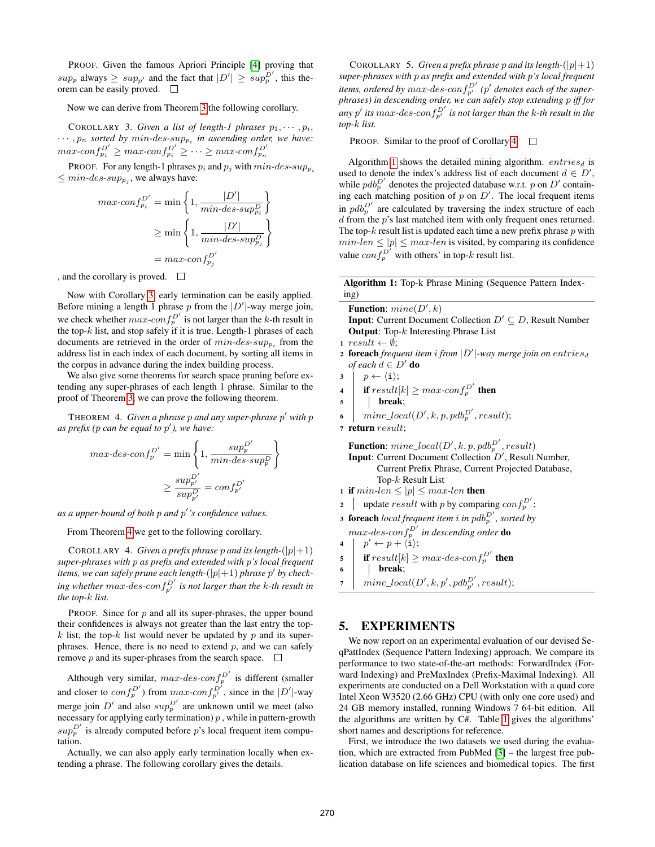PROOF. Given the famous Apriori Principle [\[4\]](#page-10-2) proving that  $sup_p$  always  $\geq sup_{p'}$  and the fact that  $|D'| \geq sup_p^{D'}$ , this theorem can be easily proved.

Now we can derive from Theorem [3](#page-5-3) the following corollary.

<span id="page-6-1"></span>COROLLARY 3. *Given a list of length-1 phrases*  $p_1, \dots, p_i$ ,  $\cdots$ ,  $p_n$  *sorted by min-des-sup<sub>pi</sub> in ascending order, we have:*  $max\text{-}conf_{p_1}^{D'} \geq max\text{-}conf_{p_i}^{D'} \geq \cdots \geq max\text{-}conf_{p_n}^{D'}$ 

PROOF. For any length-1 phrases  $p_i$  and  $p_j$  with  $min$ -des-sup<sub>pi</sub>  $\leq min\text{-}des\text{-}sup_{p_j}$ , we always have:

$$
max-conf_{p_i}^{D'} = \min\left\{1, \frac{|D'|}{min-des-sup_{p_i}^D}\right\}
$$

$$
\geq \min\left\{1, \frac{|D'|}{min-des-sup_{p_j}^D}\right\}
$$

$$
= max-conf_{p_j}^{D'}
$$

, and the corollary is proved.

Now with Corollary [3,](#page-6-1) early termination can be easily applied. Before mining a length 1 phrase  $p$  from the  $|D'|$ -way merge join, we check whether  $max\text{-}conf_p^{D'}$  is not larger than the k-th result in the top- $k$  list, and stop safely if it is true. Length-1 phrases of each documents are retrieved in the order of  $min$ -des-sup<sub>pi</sub> from the address list in each index of each document, by sorting all items in the corpus in advance during the index building process.

We also give some theorems for search space pruning before extending any super-phrases of each length 1 phrase. Similar to the proof of Theorem [3,](#page-5-3) we can prove the following theorem.

<span id="page-6-2"></span>THEOREM 4. *Given a phrase p and any super-phrase p' with p as prefix (*p *can be equal to* p 0 *), we have:*

$$
\begin{aligned} max\text{-}des\text{-}conf_p^{D'} &= \min\left\{1,\frac{sup_p^{D'}}{\min\text{-}des\text{-}sup_p^D}\right\} \\ &\geq \frac{sup_{p'}^{D'}}{\sup_{p'}^{D'}} = conf_{p'}^{D'} \end{aligned}
$$

*as a upper-bound of both* p *and* p 0 *'s confidence values.*

From Theorem [4](#page-6-2) we get to the following corollary.

<span id="page-6-3"></span>COROLLARY 4. *Given a prefix phrase p and its length-* $(|p|+1)$ *super-phrases with* p *as prefix and extended with* p*'s local frequent items, we can safely prune each length-* $(|p|+1)$  *phrase*  $p'$  *by check-* $\int$  *ing whether max-des-conf*  $p'$  *is not larger than the k-th result in the top-*k *list.*

PROOF. Since for  $p$  and all its super-phrases, the upper bound their confidences is always not greater than the last entry the topk list, the top-k list would never be updated by  $p$  and its superphrases. Hence, there is no need to extend  $p$ , and we can safely remove  $p$  and its super-phrases from the search space.  $\Box$ 

Although very similar,  $max-des-conf_p^{D'}$  is different (smaller and closer to  $conf_p^{D'}$ ) from  $max\text{-}conf_{p'}^{D'}$ , since in the  $|D'|$ -way merge join  $D'$  and also  $sup_{p}^{D'}$  are unknown until we meet (also necessary for applying early termination)  $p$ , while in pattern-growth  $sup_p^{D'}$  is already computed before p's local frequent item computation.

Actually, we can also apply early termination locally when extending a phrase. The following corollary gives the details.

COROLLARY 5. *Given a prefix phrase p and its length-* $(|p|+1)$ *super-phrases with* p *as prefix and extended with* p*'s local frequent items, ordered by max-des-con*  $f_{p'}^{D'}$  (p' denotes each of the super*phrases) in descending order, we can safely stop extending* p *iff for*  $\int_a$ any  $p'$  *its* max-des-con $f_{p'}^{D'}$  *is not larger than the k-th result in the top-*k *list.*

PROOF. Similar to the proof of Corollary [4.](#page-6-3) □

Algorithm [1](#page-6-4) shows the detailed mining algorithm.  $entries_d$  is used to denote the index's address list of each document  $d \in D'$ , while  $pdb_p^{D'}$  denotes the projected database w.r.t. p on D' containing each matching position of  $p$  on  $D'$ . The local frequent items in  $pdb_p^{D'}$  are calculated by traversing the index structure of each d from the *p*'s last matched item with only frequent ones returned. The top- $k$  result list is updated each time a new prefix phrase  $p$  with  $min\text{-}len \leq |p| \leq max\text{-}len$  is visited, by comparing its confidence value  $conf_p^{D'}$  with others' in top-k result list.

Algorithm 1: Top-k Phrase Mining (Sequence Pattern Indexing)

<span id="page-6-4"></span>

| <b>Function:</b> $mine(D', k)$                                                       |
|--------------------------------------------------------------------------------------|
| <b>Input:</b> Current Document Collection $D' \subseteq D$ , Result Number           |
| <b>Output:</b> Top- $k$ Interesting Phrase List                                      |
| $1 result \leftarrow \emptyset;$                                                     |
| <b>2 foreach</b> frequent item i from $ D' $ -way merge join on entriesd             |
| <i>of each</i> $d \in D'$ <b>do</b>                                                  |
| $  p \leftarrow \langle i \rangle;$<br>3                                             |
| 4 <b>if</b> $result[k] \geq max\text{-}conf_{p}^{D'}$ then                           |
|                                                                                      |
| 5   <b>break</b> ;<br>mine_local(D', k, p, pdb <sub>p</sub> <sup>D'</sup> , result); |
|                                                                                      |
| <b>Function:</b> $mine\_local(D', k, p, pdb_p^{D'}, result)$                         |
| <b>Input:</b> Current Document Collection $D'$ , Result Number,                      |
| Current Prefix Phrase, Current Projected Database,                                   |
| Top- $k$ Result List                                                                 |
| 1 if $min\text{-}len \leq  p  \leq max\text{-}len$ then                              |
| update <i>result</i> with p by comparing $conf_p^{D'}$ ;<br>$\mathbf{2}$             |
| <b>3 foreach</b> local frequent item i in pdb <sup>D'</sup> , sorted by              |
|                                                                                      |

 $max\text{-}des\text{-}conf_p^{D'}$  in descending order  $\mathbf{do}$ 

- 4  $\mid p' \leftarrow p + \langle i \rangle;$
- 5 if  $result[k] \geq max\text{-}des\text{-}conf_{p}^{D'}$  then
- <sup>6</sup> break;
- $\begin{array}{l} \pi \end{array} \Big|\begin{array}{c} \textit{mine\_local}(D',k,p',pdb_{p'}^{D'},\textit{result}); \end{array}$

# <span id="page-6-0"></span>5. EXPERIMENTS

We now report on an experimental evaluation of our devised SeqPattIndex (Sequence Pattern Indexing) approach. We compare its performance to two state-of-the-art methods: ForwardIndex (Forward Indexing) and PreMaxIndex (Prefix-Maximal Indexing). All experiments are conducted on a Dell Workstation with a quad core Intel Xeon W3520 (2.66 GHz) CPU (with only one core used) and 24 GB memory installed, running Windows 7 64-bit edition. All the algorithms are written by C#. Table [1](#page-7-0) gives the algorithms' short names and descriptions for reference.

First, we introduce the two datasets we used during the evaluation, which are extracted from PubMed [\[3\]](#page-10-3) – the largest free publication database on life sciences and biomedical topics. The first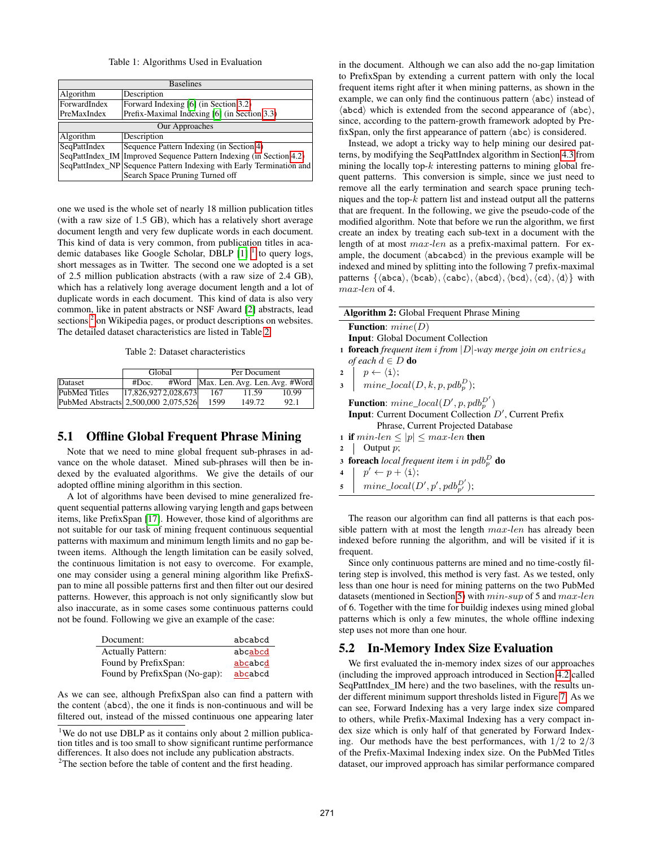#### Table 1: Algorithms Used in Evaluation

<span id="page-7-0"></span>

| <b>Baselines</b> |                                                                       |  |  |
|------------------|-----------------------------------------------------------------------|--|--|
| Algorithm        | Description                                                           |  |  |
| ForwardIndex     | Forward Indexing [6] (in Section 3.2)                                 |  |  |
| PreMaxIndex      | Prefix-Maximal Indexing [6] (in Section 3.3)                          |  |  |
| Our Approaches   |                                                                       |  |  |
| Algorithm        | Description                                                           |  |  |
| SeqPattIndex     | Sequence Pattern Indexing (in Section 4)                              |  |  |
|                  | SeqPattIndex_IM   Improved Sequence Pattern Indexing (in Section 4.2) |  |  |
|                  | SeqPattIndex_NP Sequence Pattern Indexing with Early Termination and  |  |  |
|                  | Search Space Pruning Turned off                                       |  |  |

one we used is the whole set of nearly 18 million publication titles (with a raw size of 1.5 GB), which has a relatively short average document length and very few duplicate words in each document. This kind of data is very common, from publication titles in academic databases like Google Scholar, DBLP  $[1]$ <sup>[1](#page-7-1)</sup> to query logs, short messages as in Twitter. The second one we adopted is a set of 2.5 million publication abstracts (with a raw size of 2.4 GB), which has a relatively long average document length and a lot of duplicate words in each document. This kind of data is also very common, like in patent abstracts or NSF Award [\[2\]](#page-10-5) abstracts, lead sections<sup>[2](#page-7-2)</sup> on Wikipedia pages, or product descriptions on websites. The detailed dataset characteristics are listed in Table [2.](#page-7-3)

Table 2: Dataset characteristics

<span id="page-7-3"></span>

|                                      | Global                |  | Per Document |        |                                      |
|--------------------------------------|-----------------------|--|--------------|--------|--------------------------------------|
| Dataset                              | #Doc.                 |  |              |        | #Word Max. Len. Avg. Len. Avg. #Word |
| PubMed Titles                        | [17,826,9272,028,673] |  | 167          | 11.59  | 10.99                                |
| PubMed Abstracts 2,500,000 2,075,526 |                       |  | 1599         | 149.72 | 92.1                                 |

#### <span id="page-7-4"></span>5.1 Offline Global Frequent Phrase Mining

Note that we need to mine global frequent sub-phrases in advance on the whole dataset. Mined sub-phrases will then be indexed by the evaluated algorithms. We give the details of our adopted offline mining algorithm in this section.

A lot of algorithms have been devised to mine generalized frequent sequential patterns allowing varying length and gaps between items, like PrefixSpan [\[17\]](#page-11-2). However, those kind of algorithms are not suitable for our task of mining frequent continuous sequential patterns with maximum and minimum length limits and no gap between items. Although the length limitation can be easily solved, the continuous limitation is not easy to overcome. For example, one may consider using a general mining algorithm like PrefixSpan to mine all possible patterns first and then filter out our desired patterns. However, this approach is not only significantly slow but also inaccurate, as in some cases some continuous patterns could not be found. Following we give an example of the case:

| Document:                     | abcabcd |
|-------------------------------|---------|
| <b>Actually Pattern:</b>      | abcabcd |
| Found by PrefixSpan:          | abcabcd |
| Found by PrefixSpan (No-gap): | abcabcd |

As we can see, although PrefixSpan also can find a pattern with the content  $\langle abcd \rangle$ , the one it finds is non-continuous and will be filtered out, instead of the missed continuous one appearing later

<span id="page-7-1"></span><sup>1</sup>We do not use DBLP as it contains only about 2 million publication titles and is too small to show significant runtime performance differences. It also does not include any publication abstracts.

in the document. Although we can also add the no-gap limitation to PrefixSpan by extending a current pattern with only the local frequent items right after it when mining patterns, as shown in the example, we can only find the continuous pattern  $\langle abc \rangle$  instead of  $\langle abcd \rangle$  which is extended from the second appearance of  $\langle abc \rangle$ , since, according to the pattern-growth framework adopted by PrefixSpan, only the first appearance of pattern  $\langle abc \rangle$  is considered.

Instead, we adopt a tricky way to help mining our desired patterns, by modifying the SeqPattIndex algorithm in Section [4.3](#page-5-0) from mining the locally top- $k$  interesting patterns to mining global frequent patterns. This conversion is simple, since we just need to remove all the early termination and search space pruning techniques and the top- $k$  pattern list and instead output all the patterns that are frequent. In the following, we give the pseudo-code of the modified algorithm. Note that before we run the algorithm, we first create an index by treating each sub-text in a document with the length of at most max-len as a prefix-maximal pattern. For example, the document  $\langle$ abcabcd $\rangle$  in the previous example will be indexed and mined by splitting into the following 7 prefix-maximal patterns  $\{\langle abca\rangle,\langle cabc\rangle,\langle abcd\rangle,\langle bcd\rangle,\langle cd\rangle,\langle d\rangle\}$  with max-len of 4.

| <b>Algorithm 2:</b> Global Frequent Phrase Mining                                                                                                  |  |  |  |
|----------------------------------------------------------------------------------------------------------------------------------------------------|--|--|--|
| <b>Function:</b> $mine(D)$                                                                                                                         |  |  |  |
| <b>Input:</b> Global Document Collection                                                                                                           |  |  |  |
| <b>1 foreach</b> frequent item i from $ D $ -way merge join on entries <sub>d</sub>                                                                |  |  |  |
| <i>of each</i> $d \in D$ <b>do</b>                                                                                                                 |  |  |  |
|                                                                                                                                                    |  |  |  |
| $\begin{array}{ll} {\bf 2} & p \leftarrow \langle {\bf i} \rangle; \\ {\bf 3} & mine\_local(D,k,p,pdb_p^D); \end{array}$                           |  |  |  |
| <b>Function:</b> mine_local( $D', p, pdb_p^{D'}$ )                                                                                                 |  |  |  |
| <b>Input:</b> Current Document Collection $D'$ , Current Prefix                                                                                    |  |  |  |
| Phrase, Current Projected Database                                                                                                                 |  |  |  |
| 1 if $min\text{-}len \leq  p  \leq max\text{-}len$ then                                                                                            |  |  |  |
| Output $p$ ;<br>$\overline{2}$                                                                                                                     |  |  |  |
| <b>3 foreach</b> local frequent item i in $\text{pdb}_p^D$ <b>do</b>                                                                               |  |  |  |
|                                                                                                                                                    |  |  |  |
| $\begin{array}{ll} \mbox{\bf 4} & p' \leftarrow p + \langle \mbox{\bf i} \rangle; \\ \mbox{\bf 5} & mine\_local(D',p',pdb_{p'}^{D'}); \end{array}$ |  |  |  |
|                                                                                                                                                    |  |  |  |
| The reason our algorithm can find all patterns is that each pos-                                                                                   |  |  |  |
| sible pattern with at most the length max-len has already been                                                                                     |  |  |  |
| indexed before running the algorithm, and will be visited if it is                                                                                 |  |  |  |

frequent. Since only continuous patterns are mined and no time-costly filtering step is involved, this method is very fast. As we tested, only less than one hour is need for mining patterns on the two PubMed datasets (mentioned in Section [5\)](#page-6-0) with  $min\text{-}sup$  of 5 and  $max\text{-}len$ of 6. Together with the time for buildig indexes using mined global patterns which is only a few minutes, the whole offline indexing

# 5.2 In-Memory Index Size Evaluation

step uses not more than one hour.

We first evaluated the in-memory index sizes of our approaches (including the improved approach introduced in Section [4.2](#page-4-0) called SeqPattIndex\_IM here) and the two baselines, with the results under different minimum support thresholds listed in Figure [7.](#page-8-0) As we can see, Forward Indexing has a very large index size compared to others, while Prefix-Maximal Indexing has a very compact index size which is only half of that generated by Forward Indexing. Our methods have the best performances, with  $1/2$  to  $2/3$ of the Prefix-Maximal Indexing index size. On the PubMed Titles dataset, our improved approach has similar performance compared

<span id="page-7-2"></span> $2$ The section before the table of content and the first heading.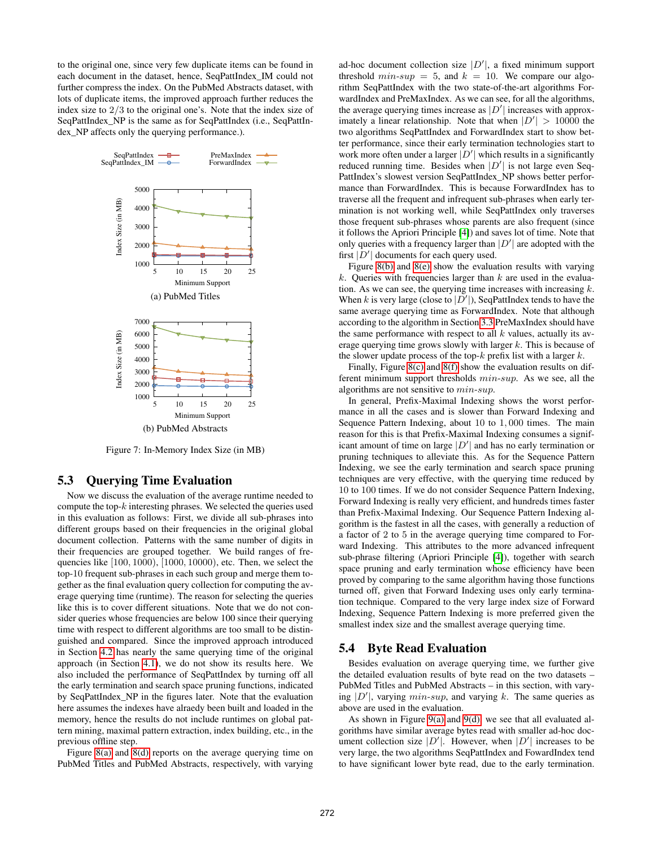to the original one, since very few duplicate items can be found in each document in the dataset, hence, SeqPattIndex\_IM could not further compress the index. On the PubMed Abstracts dataset, with lots of duplicate items, the improved approach further reduces the index size to 2/3 to the original one's. Note that the index size of SeqPattIndex\_NP is the same as for SeqPattIndex (i.e., SeqPattIndex\_NP affects only the querying performance.).

<span id="page-8-0"></span>

Figure 7: In-Memory Index Size (in MB)

#### 5.3 Querying Time Evaluation

Now we discuss the evaluation of the average runtime needed to compute the top- $k$  interesting phrases. We selected the queries used in this evaluation as follows: First, we divide all sub-phrases into different groups based on their frequencies in the original global document collection. Patterns with the same number of digits in their frequencies are grouped together. We build ranges of frequencies like [100, 1000), [1000, 10000), etc. Then, we select the top-10 frequent sub-phrases in each such group and merge them together as the final evaluation query collection for computing the average querying time (runtime). The reason for selecting the queries like this is to cover different situations. Note that we do not consider queries whose frequencies are below 100 since their querying time with respect to different algorithms are too small to be distinguished and compared. Since the improved approach introduced in Section [4.2](#page-4-0) has nearly the same querying time of the original approach (in Section [4.1\)](#page-3-0), we do not show its results here. We also included the performance of SeqPattIndex by turning off all the early termination and search space pruning functions, indicated by SeqPattIndex\_NP in the figures later. Note that the evaluation here assumes the indexes have alraedy been built and loaded in the memory, hence the results do not include runtimes on global pattern mining, maximal pattern extraction, index building, etc., in the previous offline step.

Figure [8\(a\)](#page-9-0) and [8\(d\)](#page-9-1) reports on the average querying time on PubMed Titles and PubMed Abstracts, respectively, with varying

ad-hoc document collection size  $|D'|$ , a fixed minimum support threshold  $min\text{-}sup = 5$ , and  $k = 10$ . We compare our algorithm SeqPattIndex with the two state-of-the-art algorithms ForwardIndex and PreMaxIndex. As we can see, for all the algorithms, the average querying times increase as  $|D'|$  increases with approximately a linear relationship. Note that when  $|D'| > 10000$  the two algorithms SeqPattIndex and ForwardIndex start to show better performance, since their early termination technologies start to work more often under a larger  $|D'|$  which results in a significantly reduced running time. Besides when  $|D'|$  is not large even Seq-PattIndex's slowest version SeqPattIndex\_NP shows better performance than ForwardIndex. This is because ForwardIndex has to traverse all the frequent and infrequent sub-phrases when early termination is not working well, while SeqPattIndex only traverses those frequent sub-phrases whose parents are also frequent (since it follows the Apriori Principle [\[4\]](#page-10-2)) and saves lot of time. Note that only queries with a frequency larger than  $|D'|$  are adopted with the first  $|D'|$  documents for each query used.

Figure [8\(b\)](#page-9-2) and [8\(e\)](#page-9-3) show the evaluation results with varying  $k$ . Queries with frequencies larger than  $k$  are used in the evaluation. As we can see, the querying time increases with increasing  $k$ . When k is very large (close to  $|D'|$ ), SeqPattIndex tends to have the same average querying time as ForwardIndex. Note that although according to the algorithm in Section [3.3](#page-2-5) PreMaxIndex should have the same performance with respect to all  $k$  values, actually its average querying time grows slowly with larger  $k$ . This is because of the slower update process of the top- $k$  prefix list with a larger  $k$ .

Finally, Figure [8\(c\)](#page-9-4) and [8\(f\)](#page-9-5) show the evaluation results on different minimum support thresholds min-sup. As we see, all the algorithms are not sensitive to min-sup.

In general, Prefix-Maximal Indexing shows the worst performance in all the cases and is slower than Forward Indexing and Sequence Pattern Indexing, about 10 to 1, 000 times. The main reason for this is that Prefix-Maximal Indexing consumes a significant amount of time on large  $|D'|$  and has no early termination or pruning techniques to alleviate this. As for the Sequence Pattern Indexing, we see the early termination and search space pruning techniques are very effective, with the querying time reduced by 10 to 100 times. If we do not consider Sequence Pattern Indexing, Forward Indexing is really very efficient, and hundreds times faster than Prefix-Maximal Indexing. Our Sequence Pattern Indexing algorithm is the fastest in all the cases, with generally a reduction of a factor of 2 to 5 in the average querying time compared to Forward Indexing. This attributes to the more advanced infrequent sub-phrase filtering (Apriori Principle [\[4\]](#page-10-2)), together with search space pruning and early termination whose efficiency have been proved by comparing to the same algorithm having those functions turned off, given that Forward Indexing uses only early termination technique. Compared to the very large index size of Forward Indexing, Sequence Pattern Indexing is more preferred given the smallest index size and the smallest average querying time.

#### 5.4 Byte Read Evaluation

Besides evaluation on average querying time, we further give the detailed evaluation results of byte read on the two datasets – PubMed Titles and PubMed Abstracts – in this section, with varying  $|D'|$ , varying min-sup, and varying k. The same queries as above are used in the evaluation.

As shown in Figure [9\(a\)](#page-9-6) and [9\(d\),](#page-9-7) we see that all evaluated algorithms have similar average bytes read with smaller ad-hoc document collection size  $|D'|$ . However, when  $|D'|$  increases to be very large, the two algorithms SeqPattIndex and FowardIndex tend to have significant lower byte read, due to the early termination.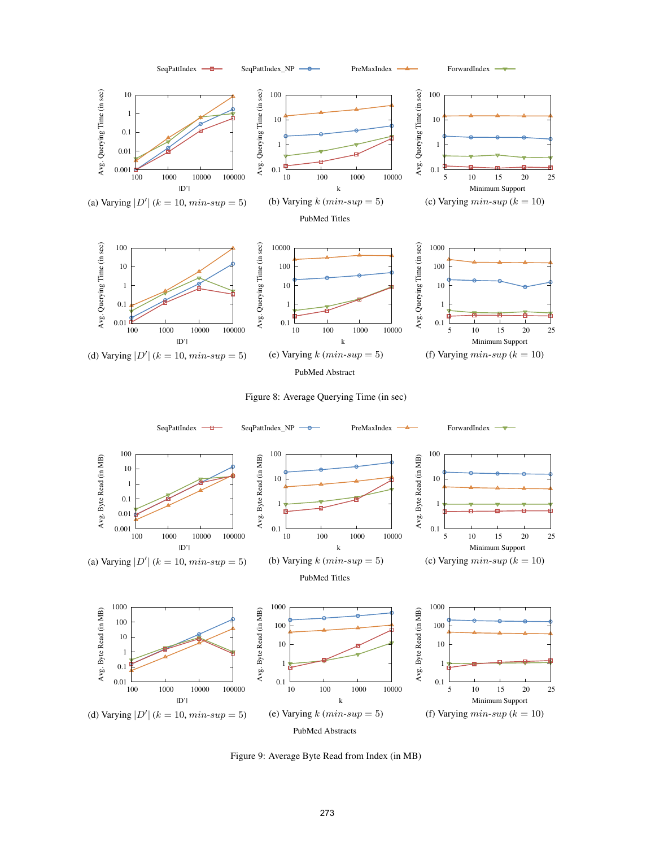<span id="page-9-0"></span>

<span id="page-9-10"></span><span id="page-9-8"></span><span id="page-9-5"></span><span id="page-9-4"></span><span id="page-9-3"></span><span id="page-9-2"></span>

<span id="page-9-7"></span><span id="page-9-6"></span><span id="page-9-1"></span>

<span id="page-9-11"></span><span id="page-9-9"></span>Figure 9: Average Byte Read from Index (in MB)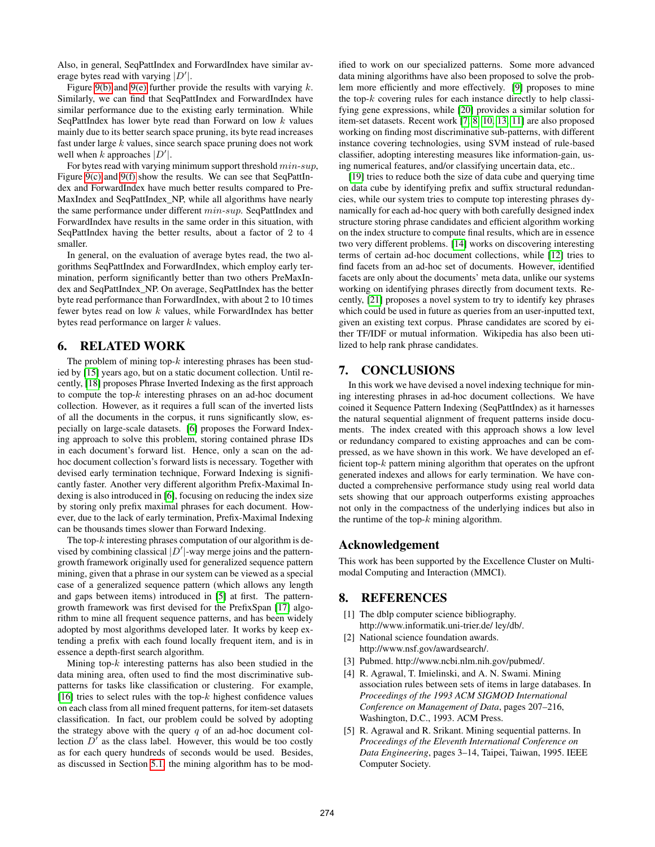Also, in general, SeqPattIndex and ForwardIndex have similar average bytes read with varying  $|D'|$ .

Figure [9\(b\)](#page-9-8) and [9\(e\)](#page-9-9) further provide the results with varying  $k$ . Similarly, we can find that SeqPattIndex and ForwardIndex have similar performance due to the existing early termination. While SeqPattIndex has lower byte read than Forward on low  $k$  values mainly due to its better search space pruning, its byte read increases fast under large  $k$  values, since search space pruning does not work well when k approaches  $|D'|$ .

For bytes read with varying minimum support threshold  $min\text{-}sup$ , Figure [9\(c\)](#page-9-10) and [9\(f\)](#page-9-11) show the results. We can see that SeqPattIndex and ForwardIndex have much better results compared to Pre-MaxIndex and SeqPattIndex\_NP, while all algorithms have nearly the same performance under different min-sup. SeqPattIndex and ForwardIndex have results in the same order in this situation, with SeqPattIndex having the better results, about a factor of 2 to 4 smaller.

In general, on the evaluation of average bytes read, the two algorithms SeqPattIndex and ForwardIndex, which employ early termination, perform significantly better than two others PreMaxIndex and SeqPattIndex\_NP. On average, SeqPattIndex has the better byte read performance than ForwardIndex, with about 2 to 10 times fewer bytes read on low k values, while ForwardIndex has better bytes read performance on larger  $k$  values.

# <span id="page-10-0"></span>6. RELATED WORK

The problem of mining top- $k$  interesting phrases has been studied by [\[15\]](#page-11-3) years ago, but on a static document collection. Until recently, [\[18\]](#page-11-0) proposes Phrase Inverted Indexing as the first approach to compute the top- $k$  interesting phrases on an ad-hoc document collection. However, as it requires a full scan of the inverted lists of all the documents in the corpus, it runs significantly slow, especially on large-scale datasets. [\[6\]](#page-11-1) proposes the Forward Indexing approach to solve this problem, storing contained phrase IDs in each document's forward list. Hence, only a scan on the adhoc document collection's forward lists is necessary. Together with devised early termination technique, Forward Indexing is significantly faster. Another very different algorithm Prefix-Maximal Indexing is also introduced in [\[6\]](#page-11-1), focusing on reducing the index size by storing only prefix maximal phrases for each document. However, due to the lack of early termination, Prefix-Maximal Indexing can be thousands times slower than Forward Indexing.

The top- $k$  interesting phrases computation of our algorithm is devised by combining classical  $|D'|$ -way merge joins and the patterngrowth framework originally used for generalized sequence pattern mining, given that a phrase in our system can be viewed as a special case of a generalized sequence pattern (which allows any length and gaps between items) introduced in [\[5\]](#page-10-6) at first. The patterngrowth framework was first devised for the PrefixSpan [\[17\]](#page-11-2) algorithm to mine all frequent sequence patterns, and has been widely adopted by most algorithms developed later. It works by keep extending a prefix with each found locally frequent item, and is in essence a depth-first search algorithm.

Mining top- $k$  interesting patterns has also been studied in the data mining area, often used to find the most discriminative subpatterns for tasks like classification or clustering. For example, [\[16\]](#page-11-4) tries to select rules with the top- $k$  highest confidence values on each class from all mined frequent patterns, for item-set datasets classification. In fact, our problem could be solved by adopting the strategy above with the query  $q$  of an ad-hoc document collection  $D'$  as the class label. However, this would be too costly as for each query hundreds of seconds would be used. Besides, as discussed in Section [5.1,](#page-7-4) the mining algorithm has to be modified to work on our specialized patterns. Some more advanced data mining algorithms have also been proposed to solve the problem more efficiently and more effectively. [\[9\]](#page-11-5) proposes to mine the top- $k$  covering rules for each instance directly to help classifying gene expressions, while [\[20\]](#page-11-6) provides a similar solution for item-set datasets. Recent work [\[7,](#page-11-7) [8,](#page-11-8) [10,](#page-11-9) [13,](#page-11-10) [11\]](#page-11-11) are also proposed working on finding most discriminative sub-patterns, with different instance covering technologies, using SVM instead of rule-based classifier, adopting interesting measures like information-gain, using numerical features, and/or classifying uncertain data, etc..

[\[19\]](#page-11-12) tries to reduce both the size of data cube and querying time on data cube by identifying prefix and suffix structural redundancies, while our system tries to compute top interesting phrases dynamically for each ad-hoc query with both carefully designed index structure storing phrase candidates and efficient algorithm working on the index structure to compute final results, which are in essence two very different problems. [\[14\]](#page-11-13) works on discovering interesting terms of certain ad-hoc document collections, while [\[12\]](#page-11-14) tries to find facets from an ad-hoc set of documents. However, identified facets are only about the documents' meta data, unlike our systems working on identifying phrases directly from document texts. Recently, [\[21\]](#page-11-15) proposes a novel system to try to identify key phrases which could be used in future as queries from an user-inputted text, given an existing text corpus. Phrase candidates are scored by either TF/IDF or mutual information. Wikipedia has also been utilized to help rank phrase candidates.

# <span id="page-10-1"></span>7. CONCLUSIONS

In this work we have devised a novel indexing technique for mining interesting phrases in ad-hoc document collections. We have coined it Sequence Pattern Indexing (SeqPattIndex) as it harnesses the natural sequential alignment of frequent patterns inside documents. The index created with this approach shows a low level or redundancy compared to existing approaches and can be compressed, as we have shown in this work. We have developed an efficient top- $k$  pattern mining algorithm that operates on the upfront generated indexes and allows for early termination. We have conducted a comprehensive performance study using real world data sets showing that our approach outperforms existing approaches not only in the compactness of the underlying indices but also in the runtime of the top- $k$  mining algorithm.

# Acknowledgement

This work has been supported by the Excellence Cluster on Multimodal Computing and Interaction (MMCI).

## 8. REFERENCES

- <span id="page-10-4"></span>[1] The dblp computer science bibliography. http://www.informatik.uni-trier.de/ ley/db/.
- <span id="page-10-5"></span>[2] National science foundation awards. http://www.nsf.gov/awardsearch/.
- <span id="page-10-3"></span>[3] Pubmed. http://www.ncbi.nlm.nih.gov/pubmed/.
- <span id="page-10-2"></span>[4] R. Agrawal, T. Imielinski, and A. N. Swami. Mining association rules between sets of items in large databases. In *Proceedings of the 1993 ACM SIGMOD International Conference on Management of Data*, pages 207–216, Washington, D.C., 1993. ACM Press.
- <span id="page-10-6"></span>[5] R. Agrawal and R. Srikant. Mining sequential patterns. In *Proceedings of the Eleventh International Conference on Data Engineering*, pages 3–14, Taipei, Taiwan, 1995. IEEE Computer Society.